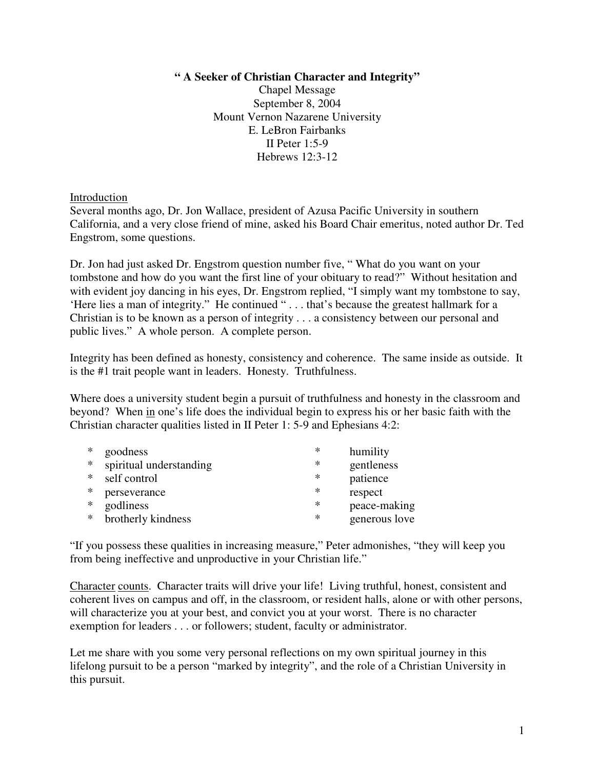## **" A Seeker of Christian Character and Integrity"**

Chapel Message September 8, 2004 Mount Vernon Nazarene University E. LeBron Fairbanks II Peter 1:5-9 Hebrews 12:3-12

Introduction

Several months ago, Dr. Jon Wallace, president of Azusa Pacific University in southern California, and a very close friend of mine, asked his Board Chair emeritus, noted author Dr. Ted Engstrom, some questions.

Dr. Jon had just asked Dr. Engstrom question number five, " What do you want on your tombstone and how do you want the first line of your obituary to read?" Without hesitation and with evident joy dancing in his eyes, Dr. Engstrom replied, "I simply want my tombstone to say, 'Here lies a man of integrity." He continued " . . . that's because the greatest hallmark for a Christian is to be known as a person of integrity . . . a consistency between our personal and public lives." A whole person. A complete person.

Integrity has been defined as honesty, consistency and coherence. The same inside as outside. It is the #1 trait people want in leaders. Honesty. Truthfulness.

Where does a university student begin a pursuit of truthfulness and honesty in the classroom and beyond? When in one's life does the individual begin to express his or her basic faith with the Christian character qualities listed in II Peter 1: 5-9 and Ephesians 4:2:

| ∗   | goodness                | ∗ | humility      |
|-----|-------------------------|---|---------------|
| $*$ | spiritual understanding | ∗ | gentleness    |
| $*$ | self control            | ∗ | patience      |
| *   | perseverance            | ∗ | respect       |
| $*$ | godliness               | ∗ | peace-making  |
| $*$ | brotherly kindness      | ∗ | generous love |

"If you possess these qualities in increasing measure," Peter admonishes, "they will keep you from being ineffective and unproductive in your Christian life."

Character counts. Character traits will drive your life! Living truthful, honest, consistent and coherent lives on campus and off, in the classroom, or resident halls, alone or with other persons, will characterize you at your best, and convict you at your worst. There is no character exemption for leaders . . . or followers; student, faculty or administrator.

Let me share with you some very personal reflections on my own spiritual journey in this lifelong pursuit to be a person "marked by integrity", and the role of a Christian University in this pursuit.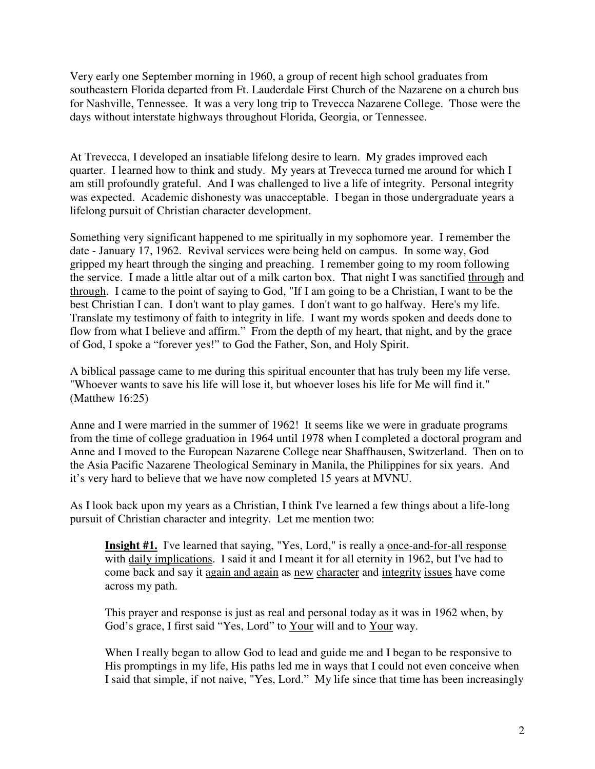Very early one September morning in 1960, a group of recent high school graduates from southeastern Florida departed from Ft. Lauderdale First Church of the Nazarene on a church bus for Nashville, Tennessee. It was a very long trip to Trevecca Nazarene College. Those were the days without interstate highways throughout Florida, Georgia, or Tennessee.

At Trevecca, I developed an insatiable lifelong desire to learn. My grades improved each quarter. I learned how to think and study. My years at Trevecca turned me around for which I am still profoundly grateful. And I was challenged to live a life of integrity. Personal integrity was expected. Academic dishonesty was unacceptable. I began in those undergraduate years a lifelong pursuit of Christian character development.

Something very significant happened to me spiritually in my sophomore year. I remember the date - January 17, 1962. Revival services were being held on campus. In some way, God gripped my heart through the singing and preaching. I remember going to my room following the service. I made a little altar out of a milk carton box. That night I was sanctified through and through. I came to the point of saying to God, "If I am going to be a Christian, I want to be the best Christian I can. I don't want to play games. I don't want to go halfway. Here's my life. Translate my testimony of faith to integrity in life. I want my words spoken and deeds done to flow from what I believe and affirm." From the depth of my heart, that night, and by the grace of God, I spoke a "forever yes!" to God the Father, Son, and Holy Spirit.

A biblical passage came to me during this spiritual encounter that has truly been my life verse. "Whoever wants to save his life will lose it, but whoever loses his life for Me will find it." (Matthew 16:25)

Anne and I were married in the summer of 1962! It seems like we were in graduate programs from the time of college graduation in 1964 until 1978 when I completed a doctoral program and Anne and I moved to the European Nazarene College near Shaffhausen, Switzerland. Then on to the Asia Pacific Nazarene Theological Seminary in Manila, the Philippines for six years. And it's very hard to believe that we have now completed 15 years at MVNU.

As I look back upon my years as a Christian, I think I've learned a few things about a life-long pursuit of Christian character and integrity. Let me mention two:

**Insight #1.** I've learned that saying, "Yes, Lord," is really a once-and-for-all response with daily implications. I said it and I meant it for all eternity in 1962, but I've had to come back and say it again and again as new character and integrity issues have come across my path.

This prayer and response is just as real and personal today as it was in 1962 when, by God's grace, I first said "Yes, Lord" to Your will and to Your way.

When I really began to allow God to lead and guide me and I began to be responsive to His promptings in my life, His paths led me in ways that I could not even conceive when I said that simple, if not naive, "Yes, Lord." My life since that time has been increasingly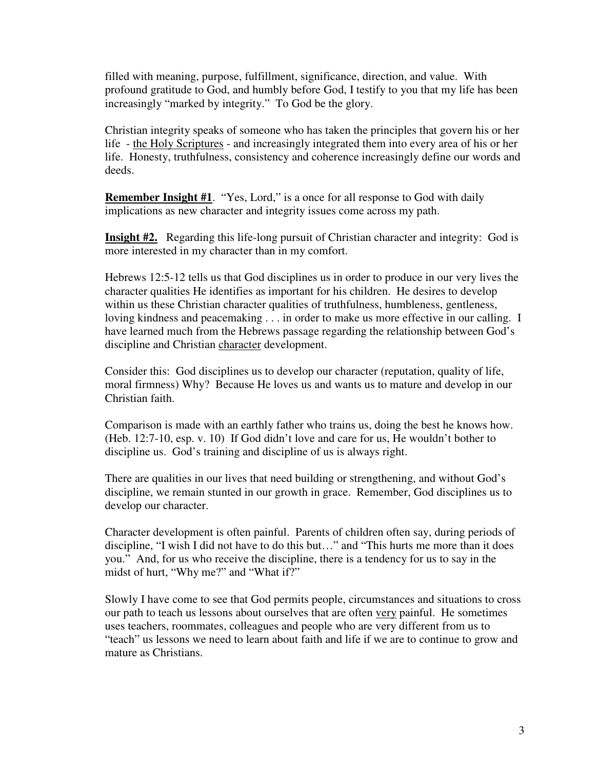filled with meaning, purpose, fulfillment, significance, direction, and value. With profound gratitude to God, and humbly before God, I testify to you that my life has been increasingly "marked by integrity." To God be the glory.

Christian integrity speaks of someone who has taken the principles that govern his or her life - the Holy Scriptures - and increasingly integrated them into every area of his or her life. Honesty, truthfulness, consistency and coherence increasingly define our words and deeds.

**Remember Insight #1**. "Yes, Lord," is a once for all response to God with daily implications as new character and integrity issues come across my path.

**Insight #2.** Regarding this life-long pursuit of Christian character and integrity: God is more interested in my character than in my comfort.

Hebrews 12:5-12 tells us that God disciplines us in order to produce in our very lives the character qualities He identifies as important for his children. He desires to develop within us these Christian character qualities of truthfulness, humbleness, gentleness, loving kindness and peacemaking . . . in order to make us more effective in our calling. I have learned much from the Hebrews passage regarding the relationship between God's discipline and Christian character development.

Consider this: God disciplines us to develop our character (reputation, quality of life, moral firmness) Why? Because He loves us and wants us to mature and develop in our Christian faith.

Comparison is made with an earthly father who trains us, doing the best he knows how. (Heb. 12:7-10, esp. v. 10) If God didn't love and care for us, He wouldn't bother to discipline us. God's training and discipline of us is always right.

There are qualities in our lives that need building or strengthening, and without God's discipline, we remain stunted in our growth in grace. Remember, God disciplines us to develop our character.

Character development is often painful. Parents of children often say, during periods of discipline, "I wish I did not have to do this but…" and "This hurts me more than it does you." And, for us who receive the discipline, there is a tendency for us to say in the midst of hurt, "Why me?" and "What if?"

Slowly I have come to see that God permits people, circumstances and situations to cross our path to teach us lessons about ourselves that are often very painful. He sometimes uses teachers, roommates, colleagues and people who are very different from us to "teach" us lessons we need to learn about faith and life if we are to continue to grow and mature as Christians.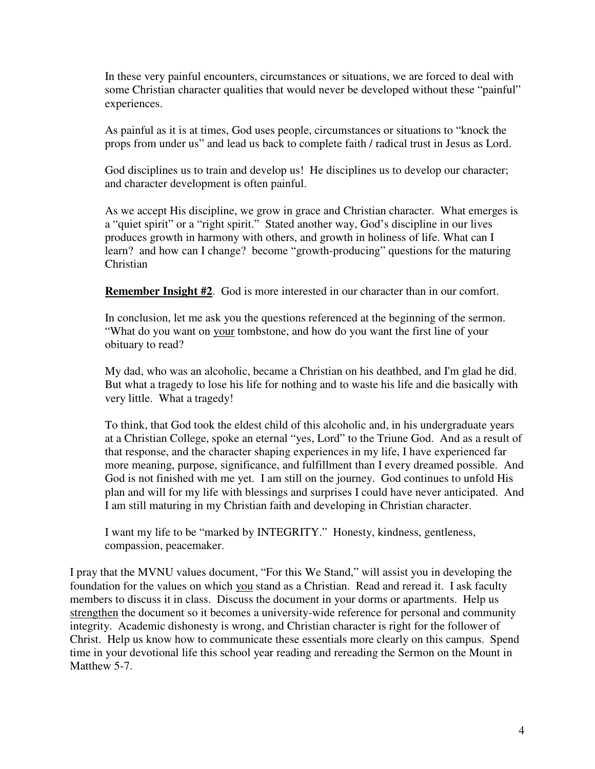In these very painful encounters, circumstances or situations, we are forced to deal with some Christian character qualities that would never be developed without these "painful" experiences.

As painful as it is at times, God uses people, circumstances or situations to "knock the props from under us" and lead us back to complete faith / radical trust in Jesus as Lord.

God disciplines us to train and develop us! He disciplines us to develop our character; and character development is often painful.

As we accept His discipline, we grow in grace and Christian character. What emerges is a "quiet spirit" or a "right spirit." Stated another way, God's discipline in our lives produces growth in harmony with others, and growth in holiness of life. What can I learn? and how can I change? become "growth-producing" questions for the maturing Christian

**Remember Insight #2**. God is more interested in our character than in our comfort.

In conclusion, let me ask you the questions referenced at the beginning of the sermon. "What do you want on your tombstone, and how do you want the first line of your obituary to read?

My dad, who was an alcoholic, became a Christian on his deathbed, and I'm glad he did. But what a tragedy to lose his life for nothing and to waste his life and die basically with very little. What a tragedy!

To think, that God took the eldest child of this alcoholic and, in his undergraduate years at a Christian College, spoke an eternal "yes, Lord" to the Triune God. And as a result of that response, and the character shaping experiences in my life, I have experienced far more meaning, purpose, significance, and fulfillment than I every dreamed possible. And God is not finished with me yet. I am still on the journey. God continues to unfold His plan and will for my life with blessings and surprises I could have never anticipated. And I am still maturing in my Christian faith and developing in Christian character.

I want my life to be "marked by INTEGRITY." Honesty, kindness, gentleness, compassion, peacemaker.

I pray that the MVNU values document, "For this We Stand," will assist you in developing the foundation for the values on which you stand as a Christian. Read and reread it. I ask faculty members to discuss it in class. Discuss the document in your dorms or apartments. Help us strengthen the document so it becomes a university-wide reference for personal and community integrity. Academic dishonesty is wrong, and Christian character is right for the follower of Christ. Help us know how to communicate these essentials more clearly on this campus. Spend time in your devotional life this school year reading and rereading the Sermon on the Mount in Matthew 5-7.